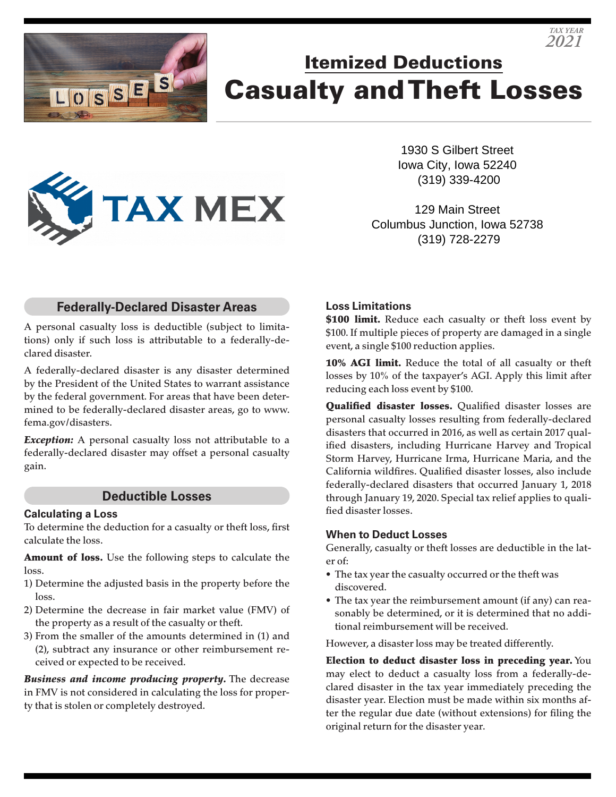

# Itemized Deductions Casualty and Theft Losses

1930 S Gilbert Street Iowa City, Iowa 52240 (319) 339-4200

*TAX YEAR 2021*

129 Main Street Columbus Junction, Iowa 52738 (319) 728-2279

## **Federally-Declared Disaster Areas**

A personal casualty loss is deductible (subject to limitations) only if such loss is attributable to a federally-declared disaster.

A federally-declared disaster is any disaster determined by the President of the United States to warrant assistance by the federal government. For areas that have been determined to be federally-declared disaster areas, go to www. fema.gov/disasters.

**Exception:** A personal casualty loss not attributable to a federally-declared disaster may offset a personal casualty gain.

#### **Deductible Losses**

#### **Calculating a Loss**

To determine the deduction for a casualty or theft loss, first calculate the loss.

Amount of loss. Use the following steps to calculate the loss.

- 1) Determine the adjusted basis in the property before the loss.
- 2) Determine the decrease in fair market value (FMV) of the property as a result of the casualty or theft.
- 3) From the smaller of the amounts determined in (1) and (2), subtract any insurance or other reimbursement received or expected to be received.

*Business and income producing property.* The decrease in FMV is not considered in calculating the loss for property that is stolen or completely destroyed.

#### **Loss Limitations**

\$100 limit. Reduce each casualty or theft loss event by \$100. If multiple pieces of property are damaged in a single event, a single \$100 reduction applies.

10% AGI limit. Reduce the total of all casualty or theft losses by 10% of the taxpayer's AGI. Apply this limit after reducing each loss event by \$100.

**Qualified disaster losses.** Qualified disaster losses are personal casualty losses resulting from federally-declared disasters that occurred in 2016, as well as certain 2017 qualified disasters, including Hurricane Harvey and Tropical Storm Harvey, Hurricane Irma, Hurricane Maria, and the California wildfires. Qualified disaster losses, also include federally-declared disasters that occurred January 1, 2018 through January 19, 2020. Special tax relief applies to qualified disaster losses.

#### **When to Deduct Losses**

Generally, casualty or theft losses are deductible in the later of:

- The tax year the casualty occurred or the theft was discovered.
- The tax year the reimbursement amount (if any) can reasonably be determined, or it is determined that no additional reimbursement will be received.

However, a disaster loss may be treated differently.

Election to deduct disaster loss in preceding year. You may elect to deduct a casualty loss from a federally-declared disaster in the tax year immediately preceding the disaster year. Election must be made within six months after the regular due date (without extensions) for filing the original return for the disaster year.